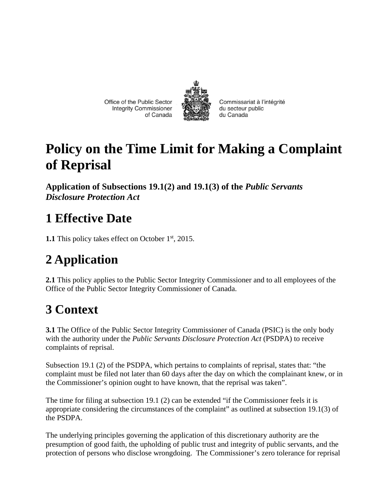Office of the Public Sector **Integrity Commissioner** of Canada



Commissariat à l'intégrité du secteur public du Canada

# **Policy on the Time Limit for Making a Complaint of Reprisal**

**Application of Subsections 19.1(2) and 19.1(3) of the** *Public Servants Disclosure Protection Act*

## **1 Effective Date**

**1.1** This policy takes effect on October 1<sup>st</sup>, 2015.

# **2 Application**

**2.1** This policy applies to the Public Sector Integrity Commissioner and to all employees of the Office of the Public Sector Integrity Commissioner of Canada.

## **3 Context**

**3.1** The Office of the Public Sector Integrity Commissioner of Canada (PSIC) is the only body with the authority under the *Public Servants Disclosure Protection Act* (PSDPA) to receive complaints of reprisal.

Subsection 19.1 (2) of the PSDPA, which pertains to complaints of reprisal, states that: "the complaint must be filed not later than 60 days after the day on which the complainant knew, or in the Commissioner's opinion ought to have known, that the reprisal was taken".

The time for filing at subsection 19.1 (2) can be extended "if the Commissioner feels it is appropriate considering the circumstances of the complaint" as outlined at subsection 19.1(3) of the PSDPA.

The underlying principles governing the application of this discretionary authority are the presumption of good faith, the upholding of public trust and integrity of public servants, and the protection of persons who disclose wrongdoing. The Commissioner's zero tolerance for reprisal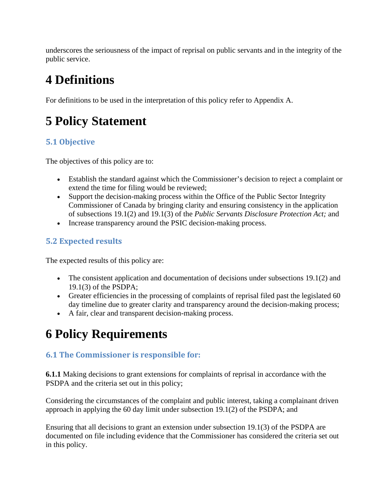underscores the seriousness of the impact of reprisal on public servants and in the integrity of the public service.

## **4 Definitions**

For definitions to be used in the interpretation of this policy refer to Appendix A.

## **5 Policy Statement**

### **5.1 Objective**

The objectives of this policy are to:

- Establish the standard against which the Commissioner's decision to reject a complaint or extend the time for filing would be reviewed;
- Support the decision-making process within the Office of the Public Sector Integrity Commissioner of Canada by bringing clarity and ensuring consistency in the application of subsections 19.1(2) and 19.1(3) of the *Public Servants Disclosure Protection Act;* and
- Increase transparency around the PSIC decision-making process.

### **5.2 Expected results**

The expected results of this policy are:

- The consistent application and documentation of decisions under subsections 19.1(2) and 19.1(3) of the PSDPA;
- Greater efficiencies in the processing of complaints of reprisal filed past the legislated 60 day timeline due to greater clarity and transparency around the decision-making process;
- A fair, clear and transparent decision-making process.

# **6 Policy Requirements**

### **6.1 The Commissioner is responsible for:**

**6.1.1** Making decisions to grant extensions for complaints of reprisal in accordance with the PSDPA and the criteria set out in this policy;

Considering the circumstances of the complaint and public interest, taking a complainant driven approach in applying the 60 day limit under subsection 19.1(2) of the PSDPA; and

Ensuring that all decisions to grant an extension under subsection 19.1(3) of the PSDPA are documented on file including evidence that the Commissioner has considered the criteria set out in this policy.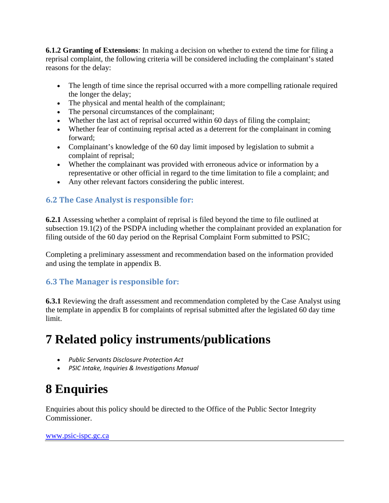**6.1.2 Granting of Extensions**: In making a decision on whether to extend the time for filing a reprisal complaint, the following criteria will be considered including the complainant's stated reasons for the delay:

- The length of time since the reprisal occurred with a more compelling rationale required the longer the delay;
- The physical and mental health of the complainant;
- The personal circumstances of the complainant;
- Whether the last act of reprisal occurred within 60 days of filing the complaint;
- Whether fear of continuing reprisal acted as a deterrent for the complainant in coming forward;
- Complainant's knowledge of the 60 day limit imposed by legislation to submit a complaint of reprisal;
- Whether the complainant was provided with erroneous advice or information by a representative or other official in regard to the time limitation to file a complaint; and
- Any other relevant factors considering the public interest.

### **6.2 The Case Analyst is responsible for:**

**6.2.1** Assessing whether a complaint of reprisal is filed beyond the time to file outlined at subsection 19.1(2) of the PSDPA including whether the complainant provided an explanation for filing outside of the 60 day period on the Reprisal Complaint Form submitted to PSIC;

Completing a preliminary assessment and recommendation based on the information provided and using the template in appendix B.

#### **6.3 The Manager is responsible for:**

**6.3.1** Reviewing the draft assessment and recommendation completed by the Case Analyst using the template in appendix B for complaints of reprisal submitted after the legislated 60 day time limit.

### **7 Related policy instruments/publications**

- *Public Servants Disclosure Protection Act*
- *PSIC Intake, Inquiries & Investigations Manual*

## **8 Enquiries**

Enquiries about this policy should be directed to the Office of the Public Sector Integrity Commissioner.

www.psic-ispc.gc.ca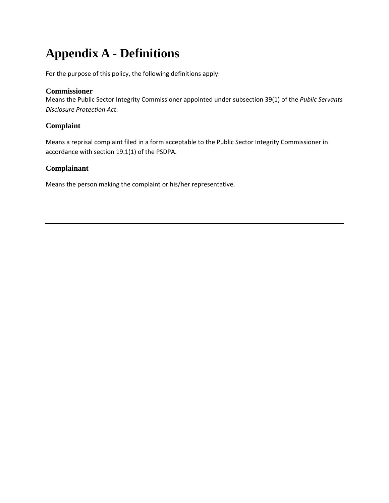# **Appendix A - Definitions**

For the purpose of this policy, the following definitions apply:

#### **Commissioner**

Means the Public Sector Integrity Commissioner appointed under subsection 39(1) of the *Public Servants Disclosure Protection Act*.

#### **Complaint**

Means a reprisal complaint filed in a form acceptable to the Public Sector Integrity Commissioner in accordance with section 19.1(1) of the PSDPA.

#### **Complainant**

Means the person making the complaint or his/her representative.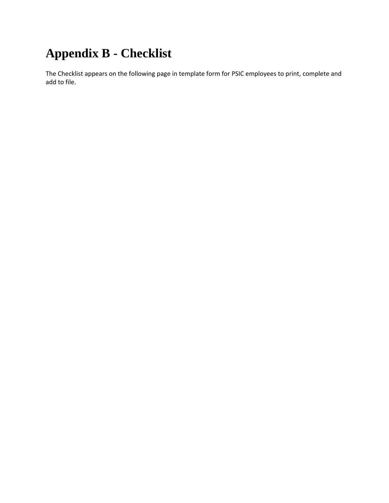# **Appendix B - Checklist**

The Checklist appears on the following page in template form for PSIC employees to print, complete and add to file.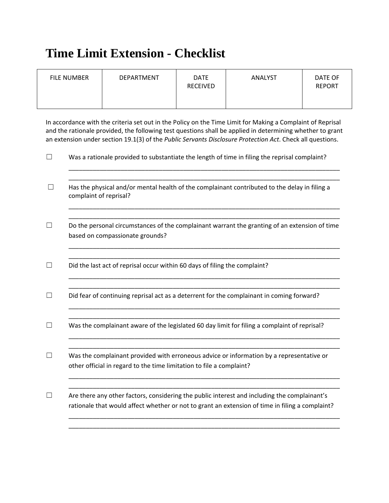### **Time Limit Extension - Checklist**

| <b>FILE NUMBER</b> | DEPARTMENT | <b>DATE</b><br><b>RECEIVED</b> | <b>ANALYST</b> | DATE OF<br><b>REPORT</b> |
|--------------------|------------|--------------------------------|----------------|--------------------------|
|--------------------|------------|--------------------------------|----------------|--------------------------|

In accordance with the criteria set out in the Policy on the Time Limit for Making a Complaint of Reprisal and the rationale provided, the following test questions shall be applied in determining whether to grant an extension under section 19.1(3) of the *Public Servants Disclosure Protection Act*. Check all questions.

|              | Was a rationale provided to substantiate the length of time in filing the reprisal complaint?                                                                                                   |  |  |  |
|--------------|-------------------------------------------------------------------------------------------------------------------------------------------------------------------------------------------------|--|--|--|
| $\mathsf{L}$ | Has the physical and/or mental health of the complainant contributed to the delay in filing a<br>complaint of reprisal?                                                                         |  |  |  |
|              | Do the personal circumstances of the complainant warrant the granting of an extension of time<br>based on compassionate grounds?                                                                |  |  |  |
|              | Did the last act of reprisal occur within 60 days of filing the complaint?                                                                                                                      |  |  |  |
|              | Did fear of continuing reprisal act as a deterrent for the complainant in coming forward?                                                                                                       |  |  |  |
|              | Was the complainant aware of the legislated 60 day limit for filing a complaint of reprisal?                                                                                                    |  |  |  |
|              | Was the complainant provided with erroneous advice or information by a representative or<br>other official in regard to the time limitation to file a complaint?                                |  |  |  |
|              | Are there any other factors, considering the public interest and including the complainant's<br>rationale that would affect whether or not to grant an extension of time in filing a complaint? |  |  |  |
|              |                                                                                                                                                                                                 |  |  |  |